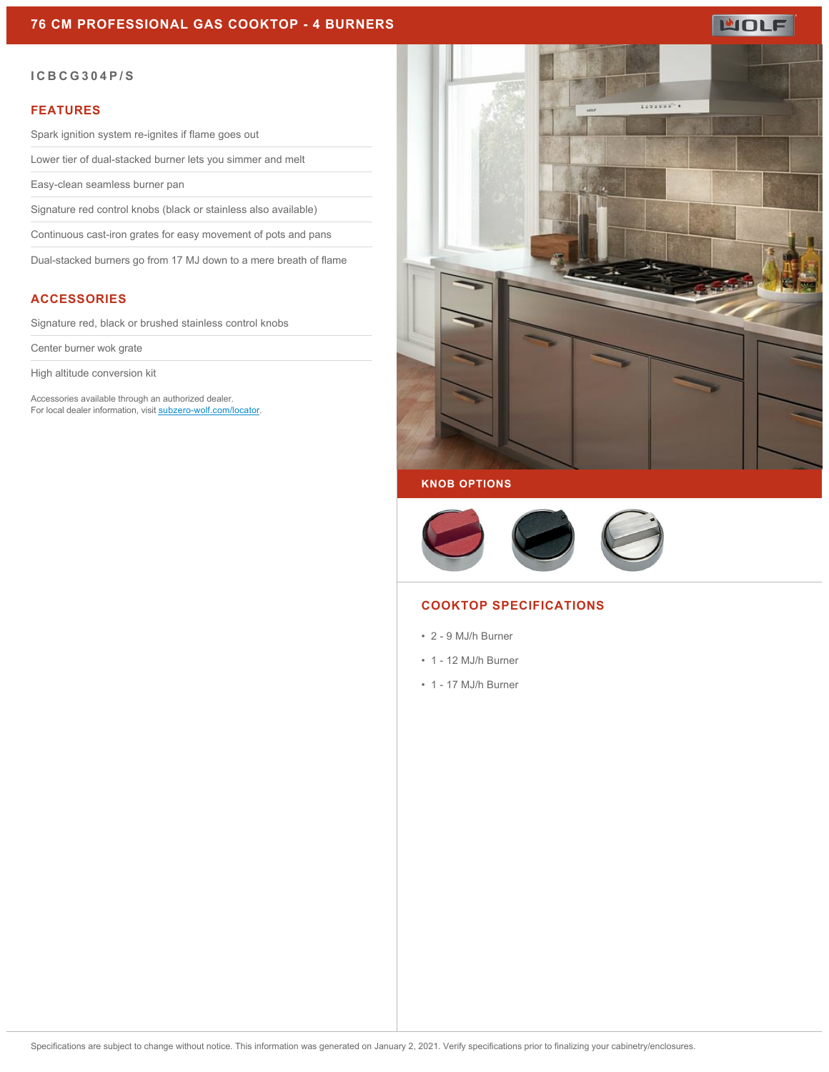# **MOLF**

#### **ICBCG304P/S**

#### **FEATURES**

Spark ignition system re-ignites if flame goes out

Lower tier of dual-stacked burner lets you simmer and melt

Easy-clean seamless burner pan

Signature red control knobs (black or stainless also available)

Continuous cast-iron grates for easy movement of pots and pans

Dual-stacked burners go from 17 MJ down to a mere breath of flame

## **ACCESSORIES**

Signature red, black or brushed stainless control knobs

Center burner wok grate

High altitude conversion kit

Accessories available through an authorized dealer. For local dealer information, visit [subzero-wolf.com/locator.](http://www.subzero-wolf.com/locator)



### **KNOB OPTIONS**



#### **COOKTOP SPECIFICATIONS**

- 2 9 MJ/h Burner
- 1 12 MJ/h Burner
- 1 17 MJ/h Burner